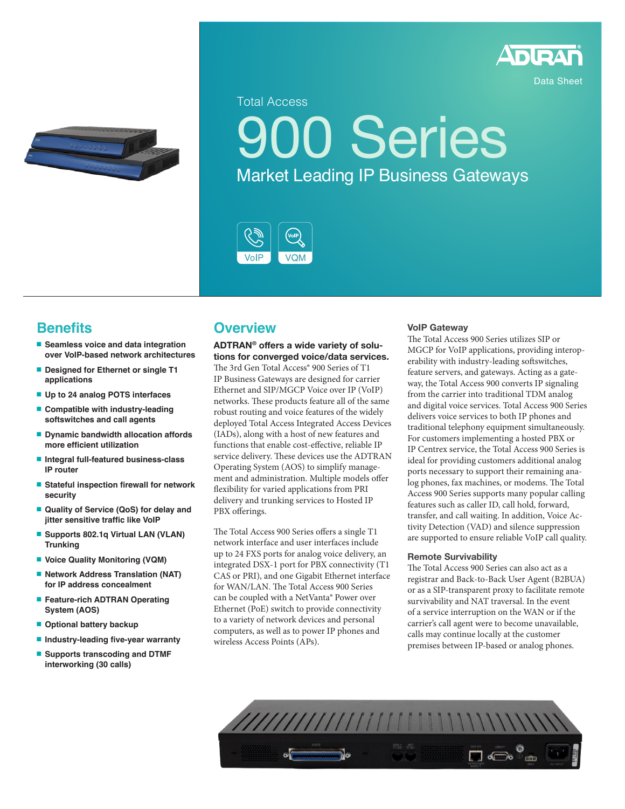



Total Access

**00 Series** Market Leading IP Business Gateways



# **Benefits**

- **Seamless voice and data integration over VoIP-based network architectures**
- **Designed for Ethernet or single T1 applications**
- **Up to 24 analog POTS interfaces**
- **Compatible with industry-leading softswitches and call agents**
- **Dynamic bandwidth allocation affords more efficient utilization**
- **Integral full-featured business-class IP router**
- **Stateful inspection firewall for network security**
- **Quality of Service (QoS) for delay and jitter sensitive traffic like VoIP**
- **Supports 802.1q Virtual LAN (VLAN) Trunking**
- **Voice Quality Monitoring (VQM)**
- **Network Address Translation (NAT) for IP address concealment**
- **Feature-rich ADTRAN Operating System (AOS)**
- **Optional battery backup**
- **Industry-leading five-year warranty**
- **Supports transcoding and DTMF interworking (30 calls)**

## **Overview**

#### **ADTRAN® offers a wide variety of solutions for converged voice/data services.**

The 3rd Gen Total Access<sup>®</sup> 900 Series of T1 IP Business Gateways are designed for carrier Ethernet and SIP/MGCP Voice over IP (VoIP) networks. These products feature all of the same robust routing and voice features of the widely deployed Total Access Integrated Access Devices (IADs), along with a host of new features and functions that enable cost-effective, reliable IP service delivery. These devices use the ADTRAN Operating System (AOS) to simplify management and administration. Multiple models offer flexibility for varied applications from PRI delivery and trunking services to Hosted IP PBX offerings.

The Total Access 900 Series offers a single T1 network interface and user interfaces include up to 24 FXS ports for analog voice delivery, an integrated DSX-1 port for PBX connectivity (T1 CAS or PRI), and one Gigabit Ethernet interface for WAN/LAN. The Total Access 900 Series can be coupled with a NetVanta® Power over Ethernet (PoE) switch to provide connectivity to a variety of network devices and personal computers, as well as to power IP phones and wireless Access Points (APs).

#### **VoIP Gateway**

The Total Access 900 Series utilizes SIP or MGCP for VoIP applications, providing interoperability with industry-leading softswitches, feature servers, and gateways. Acting as a gateway, the Total Access 900 converts IP signaling from the carrier into traditional TDM analog and digital voice services. Total Access 900 Series delivers voice services to both IP phones and traditional telephony equipment simultaneously. For customers implementing a hosted PBX or IP Centrex service, the Total Access 900 Series is ideal for providing customers additional analog ports necessary to support their remaining analog phones, fax machines, or modems. The Total Access 900 Series supports many popular calling features such as caller ID, call hold, forward, transfer, and call waiting. In addition, Voice Activity Detection (VAD) and silence suppression are supported to ensure reliable VoIP call quality.

#### **Remote Survivability**

The Total Access 900 Series can also act as a registrar and Back-to-Back User Agent (B2BUA) or as a SIP-transparent proxy to facilitate remote survivability and NAT traversal. In the event of a service interruption on the WAN or if the carrier's call agent were to become unavailable, calls may continue locally at the customer premises between IP-based or analog phones.

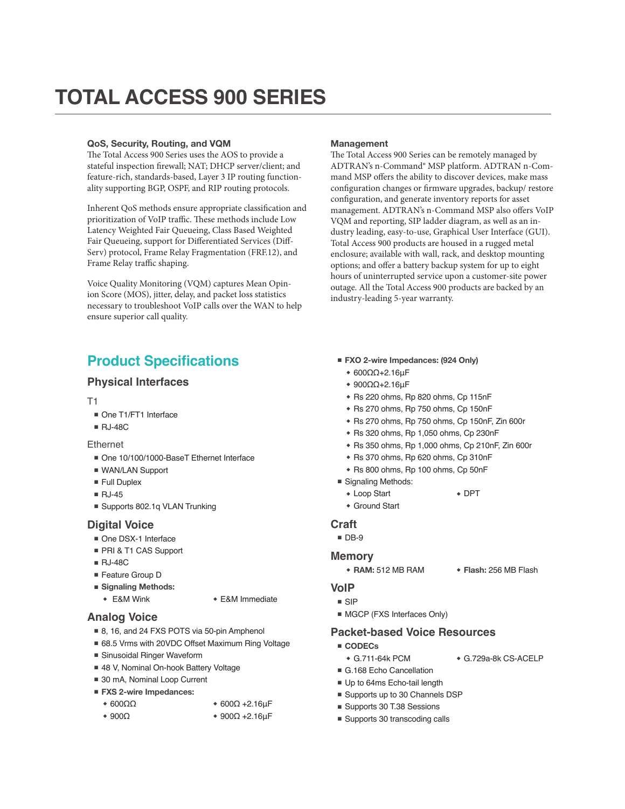#### **QoS, Security, Routing, and VQM**

The Total Access 900 Series uses the AOS to provide a stateful inspection firewall; NAT; DHCP server/client; and feature-rich, standards-based, Layer 3 IP routing functionality supporting BGP, OSPF, and RIP routing protocols.

Inherent QoS methods ensure appropriate classification and prioritization of VoIP traffic. These methods include Low Latency Weighted Fair Queueing, Class Based Weighted Fair Queueing, support for Differentiated Services (Diff-Serv) protocol, Frame Relay Fragmentation (FRF.12), and Frame Relay traffic shaping.

Voice Quality Monitoring (VQM) captures Mean Opinion Score (MOS), jitter, delay, and packet loss statistics necessary to troubleshoot VoIP calls over the WAN to help ensure superior call quality.

# **Product Specifications**

#### **Physical Interfaces**

T1

- One T1/FT1 Interface
- RJ-48C

#### Ethernet

- One 10/100/1000-BaseT Ethernet Interface
- WAN/LAN Support
- Full Duplex
- RJ-45
- Supports 802.1q VLAN Trunking

#### **Digital Voice**

- One DSX-1 Interface
- PRI & T1 CAS Support
- RJ-48C
- Feature Group D
- **Signaling Methods:**

#### ◆ E&M Wink ◆ E&M Immediate

#### **Analog Voice**

◆ 600ΩΩ

- 8, 16, and 24 FXS POTS via 50-pin Amphenol
- 68.5 Vrms with 20VDC Offset Maximum Ring Voltage
- Sinusoidal Ringer Waveform
- 48 V, Nominal On-hook Battery Voltage
- 30 mA, Nominal Loop Current
- **FXS 2-wire Impedances:**
	- ◆ 600Ω +2.16μF
	- ◆ 900Ω ◆ 900Ω +2.16μF

#### **Management**

The Total Access 900 Series can be remotely managed by ADTRAN's n-Command® MSP platform. ADTRAN n-Command MSP offers the ability to discover devices, make mass configuration changes or firmware upgrades, backup/ restore configuration, and generate inventory reports for asset management. ADTRAN's n-Command MSP also offers VoIP VQM and reporting, SIP ladder diagram, as well as an industry leading, easy-to-use, Graphical User Interface (GUI). Total Access 900 products are housed in a rugged metal enclosure; available with wall, rack, and desktop mounting options; and offer a battery backup system for up to eight hours of uninterrupted service upon a customer-site power outage. All the Total Access 900 products are backed by an industry-leading 5-year warranty.

- **FXO 2-wire Impedances: (924 Only)**
	- ◆ 600ΩΩ+2.16μF
	- ◆ 900ΩΩ+2.16μF
	- ◆ Rs 220 ohms, Rp 820 ohms, Cp 115nF
	- ◆ Rs 270 ohms, Rp 750 ohms, Cp 150nF
	- ◆ Rs 270 ohms, Rp 750 ohms, Cp 150nF, Zin 600r
	- ◆ Rs 320 ohms, Rp 1,050 ohms, Cp 230nF
	- ◆ Rs 350 ohms, Rp 1,000 ohms, Cp 210nF, Zin 600r
	- ◆ Rs 370 ohms, Rp 620 ohms, Cp 310nF
	- ◆ Rs 800 ohms, Rp 100 ohms, Cp 50nF
- Signaling Methods:
	- ◆ Loop Start ◆ DPT
	- ◆ Ground Start

#### **Craft**

- DB-9
- **Memory**
	- ◆ **RAM:** 512 MB RAM ◆ **Flash:** 256 MB Flash
- **VoIP**
- SIP
- MGCP (FXS Interfaces Only)

#### **Packet-based Voice Resources**

- **CODECs**
- ◆ G.711-64k PCM ◆ G.729a-8k CS-ACELP
- G.168 Echo Cancellation
- Up to 64ms Echo-tail length
- Supports up to 30 Channels DSP
- Supports 30 T.38 Sessions
- Supports 30 transcoding calls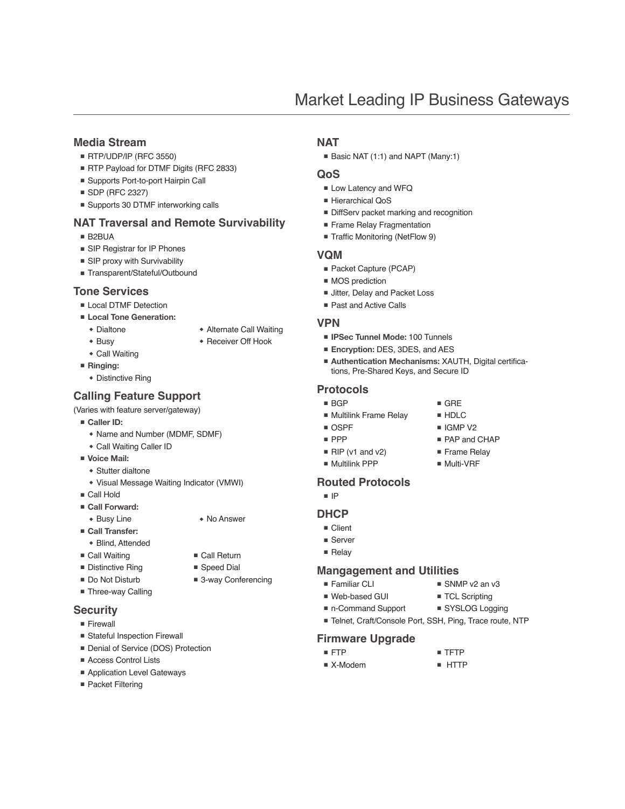#### **Media Stream**

- RTP/UDP/IP (RFC 3550)
- RTP Payload for DTMF Digits (RFC 2833)
- Supports Port-to-port Hairpin Call
- SDP (RFC 2327)
- Supports 30 DTMF interworking calls

#### **NAT Traversal and Remote Survivability**

- B2BUA
- SIP Registrar for IP Phones
- SIP proxy with Survivability
- Transparent/Stateful/Outbound

#### **Tone Services**

- Local DTMF Detection
- **Local Tone Generation:**
	- ◆ Dialtone
	- ◆ Busy
- ◆ Receiver Off Hook

◆ Alternate Call Waiting

- ◆ Call Waiting ■ **Ringing:**
	- ◆ Distinctive Ring

### **Calling Feature Support**

- (Varies with feature server/gateway)
- **Caller ID:**
	- ◆ Name and Number (MDMF, SDMF)
	- ◆ Call Waiting Caller ID
- **Voice Mail:**
	- ◆ Stutter dialtone
	- ◆ Visual Message Waiting Indicator (VMWI)
- Call Hold
- **Call Forward:**
- ◆ Busy Line ◆ No Answer
- **Call Transfer:**
- ◆ Blind, Attended
- Call Waiting ■ Distinctive Ring
- Speed Dial
- 3-way Conferencing

■ Call Return

■ Do Not Disturb ■ Three-way Calling

#### **Security**

- Firewall
- Stateful Inspection Firewall
- Denial of Service (DOS) Protection
- Access Control Lists
- Application Level Gateways
- Packet Filtering

#### **NAT**

■ Basic NAT (1:1) and NAPT (Many:1)

#### **QoS**

- Low Latency and WFQ
- Hierarchical QoS
- DiffServ packet marking and recognition
- Frame Relay Fragmentation
- Traffic Monitoring (NetFlow 9)

#### **VQM**

- Packet Capture (PCAP)
- MOS prediction
- Jitter, Delay and Packet Loss
- Past and Active Calls

#### **VPN**

- **IPSec Tunnel Mode:** 100 Tunnels
- **Encryption:** DES, 3DES, and AES
- **Authentication Mechanisms: XAUTH, Digital certifica**tions, Pre-Shared Keys, and Secure ID

■ GRE ■ HDLC ■ IGMP V<sub>2</sub> ■ PAP and CHAP ■ Frame Relay ■ Multi-VRF

#### **Protocols**

- BGP
- Multilink Frame Relay
- OSPF
- PPP
- RIP (v1 and v2)
- Multilink PPP

#### **Routed Protocols**

■ IP

#### **DHCP**

- Client
- Server
- Relay

#### **Mangagement and Utilities**

- Familiar CLI
- Web-based GUI
- TCL Scripting
- Telnet, Craft/Console Port, SSH, Ping, Trace route, NTP

#### **Firmware Upgrade**

- FTP
	-
- 
- 
- SNMP v2 an v3
- 
- 
- 
- 

- TFTP
- 
- X-Modem
- 
- 
- 
- 
- n-Command Support ■ SYSLOG Logging

■ HTTP